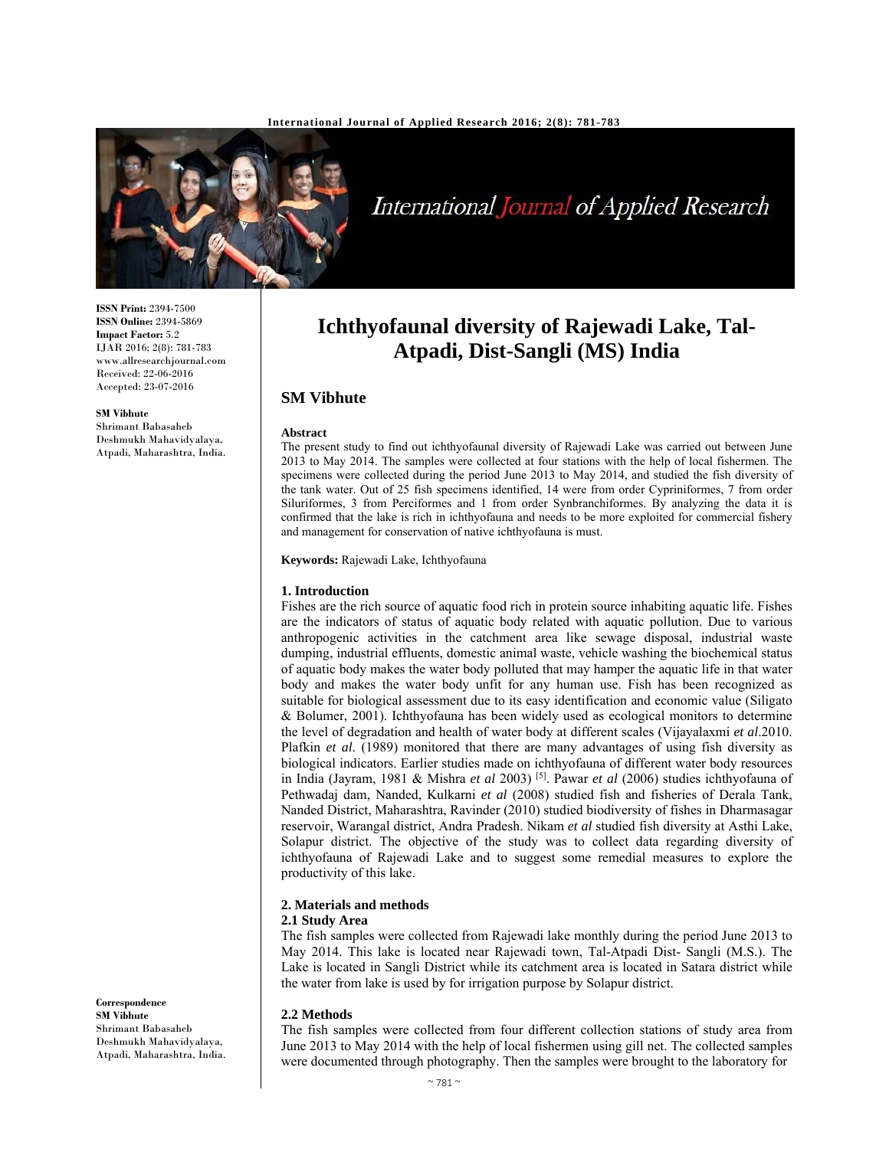

International Journal of Applied Research

# **Ichthyofaunal diversity of Rajewadi Lake, Tal-Atpadi, Dist-Sangli (MS) India**

# **SM Vibhute**

#### **Abstract**

The present study to find out ichthyofaunal diversity of Rajewadi Lake was carried out between June 2013 to May 2014. The samples were collected at four stations with the help of local fishermen. The specimens were collected during the period June 2013 to May 2014, and studied the fish diversity of the tank water. Out of 25 fish specimens identified, 14 were from order Cypriniformes, 7 from order Siluriformes, 3 from Perciformes and 1 from order Synbranchiformes. By analyzing the data it is confirmed that the lake is rich in ichthyofauna and needs to be more exploited for commercial fishery and management for conservation of native ichthyofauna is must.

**Keywords:** Rajewadi Lake, Ichthyofauna

#### **1. Introduction**

Fishes are the rich source of aquatic food rich in protein source inhabiting aquatic life. Fishes are the indicators of status of aquatic body related with aquatic pollution. Due to various anthropogenic activities in the catchment area like sewage disposal, industrial waste dumping, industrial effluents, domestic animal waste, vehicle washing the biochemical status of aquatic body makes the water body polluted that may hamper the aquatic life in that water body and makes the water body unfit for any human use. Fish has been recognized as suitable for biological assessment due to its easy identification and economic value (Siligato & Bolumer, 2001). Ichthyofauna has been widely used as ecological monitors to determine the level of degradation and health of water body at different scales (Vijayalaxmi *et al*.2010. Plafkin *et al*. (1989) monitored that there are many advantages of using fish diversity as biological indicators. Earlier studies made on ichthyofauna of different water body resources in India (Jayram, 1981 & Mishra *et al* 2003) [5]. Pawar *et al* (2006) studies ichthyofauna of Pethwadaj dam, Nanded, Kulkarni *et al* (2008) studied fish and fisheries of Derala Tank, Nanded District, Maharashtra, Ravinder (2010) studied biodiversity of fishes in Dharmasagar reservoir, Warangal district, Andra Pradesh. Nikam *et al* studied fish diversity at Asthi Lake, Solapur district. The objective of the study was to collect data regarding diversity of ichthyofauna of Rajewadi Lake and to suggest some remedial measures to explore the productivity of this lake.

#### **2. Materials and methods**

## **2.1 Study Area**

The fish samples were collected from Rajewadi lake monthly during the period June 2013 to May 2014. This lake is located near Rajewadi town, Tal-Atpadi Dist- Sangli (M.S.). The Lake is located in Sangli District while its catchment area is located in Satara district while the water from lake is used by for irrigation purpose by Solapur district.

#### **2.2 Methods**

The fish samples were collected from four different collection stations of study area from June 2013 to May 2014 with the help of local fishermen using gill net. The collected samples were documented through photography. Then the samples were brought to the laboratory for

**ISSN Print:** 2394-7500 **ISSN Online:** 2394-5869 **Impact Factor:** 5.2 IJAR 2016; 2(8): 781-783 www.allresearchjournal.com Received: 22-06-2016 Accepted: 23-07-2016

#### **SM Vibhute**

Shrimant Babasaheb Deshmukh Mahavidyalaya, Atpadi, Maharashtra, India.

**Correspondence SM Vibhute**  Shrimant Babasaheb Deshmukh Mahavidyalaya, Atpadi, Maharashtra, India.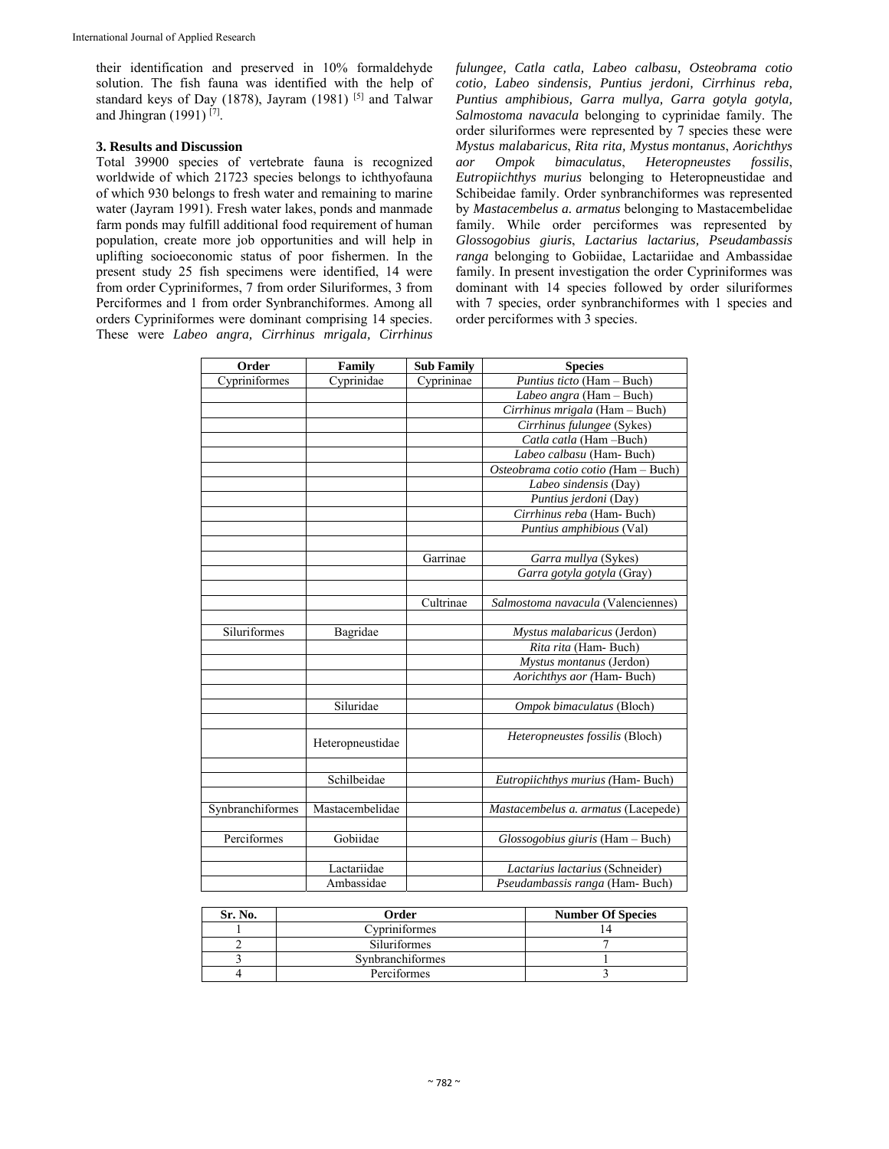their identification and preserved in 10% formaldehyde solution. The fish fauna was identified with the help of standard keys of Day (1878), Jayram (1981) [5] and Talwar and Jhingran (1991)<sup>[7]</sup>.

## **3. Results and Discussion**

Total 39900 species of vertebrate fauna is recognized worldwide of which 21723 species belongs to ichthyofauna of which 930 belongs to fresh water and remaining to marine water (Jayram 1991). Fresh water lakes, ponds and manmade farm ponds may fulfill additional food requirement of human population, create more job opportunities and will help in uplifting socioeconomic status of poor fishermen. In the present study 25 fish specimens were identified, 14 were from order Cypriniformes, 7 from order Siluriformes, 3 from Perciformes and 1 from order Synbranchiformes. Among all orders Cypriniformes were dominant comprising 14 species. These were *Labeo angra, Cirrhinus mrigala, Cirrhinus* 

*fulungee, Catla catla, Labeo calbasu, Osteobrama cotio cotio, Labeo sindensis, Puntius jerdoni, Cirrhinus reba, Puntius amphibious, Garra mullya, Garra gotyla gotyla, Salmostoma navacula* belonging to cyprinidae family. The order siluriformes were represented by 7 species these were *Mystus malabaricus*, *Rita rita, Mystus montanus*, *Aorichthys*  aor Ompok bimaculatus, Heteropneustes *Eutropiichthys murius* belonging to Heteropneustidae and Schibeidae family. Order synbranchiformes was represented by *Mastacembelus a. armatus* belonging to Mastacembelidae family. While order perciformes was represented by *Glossogobius giuris*, *Lactarius lactarius, Pseudambassis ranga* belonging to Gobiidae, Lactariidae and Ambassidae family. In present investigation the order Cypriniformes was dominant with 14 species followed by order siluriformes with 7 species, order synbranchiformes with 1 species and order perciformes with 3 species.

| Order            | Family           | <b>Sub Family</b> | <b>Species</b>                      |
|------------------|------------------|-------------------|-------------------------------------|
| Cypriniformes    | Cyprinidae       | Cyprininae        | Puntius ticto (Ham - Buch)          |
|                  |                  |                   | Labeo angra (Ham - Buch)            |
|                  |                  |                   | Cirrhinus mrigala (Ham - Buch)      |
|                  |                  |                   | Cirrhinus fulungee (Sykes)          |
|                  |                  |                   | Catla catla (Ham-Buch)              |
|                  |                  |                   | Labeo calbasu (Ham-Buch)            |
|                  |                  |                   | Osteobrama cotio cotio (Ham - Buch) |
|                  |                  |                   | Labeo sindensis (Day)               |
|                  |                  |                   | Puntius jerdoni (Day)               |
|                  |                  |                   | Cirrhinus reba (Ham-Buch)           |
|                  |                  |                   | Puntius amphibious (Val)            |
|                  |                  |                   |                                     |
|                  |                  | Garrinae          | Garra mullya (Sykes)                |
|                  |                  |                   | Garra gotyla gotyla (Gray)          |
|                  |                  |                   |                                     |
|                  |                  | Cultrinae         | Salmostoma navacula (Valenciennes)  |
|                  |                  |                   |                                     |
| Siluriformes     | Bagridae         |                   | Mystus malabaricus (Jerdon)         |
|                  |                  |                   | Rita rita (Ham-Buch)                |
|                  |                  |                   | Mystus montanus (Jerdon)            |
|                  |                  |                   | Aorichthys aor (Ham-Buch)           |
|                  |                  |                   |                                     |
|                  | Siluridae        |                   | Ompok bimaculatus (Bloch)           |
|                  |                  |                   |                                     |
|                  | Heteropneustidae |                   | Heteropneustes fossilis (Bloch)     |
|                  |                  |                   |                                     |
|                  |                  |                   |                                     |
|                  | Schilbeidae      |                   | Eutropiichthys murius (Ham-Buch)    |
|                  |                  |                   |                                     |
| Synbranchiformes | Mastacembelidae  |                   | Mastacembelus a. armatus (Lacepede) |
|                  |                  |                   |                                     |
| Perciformes      | Gobiidae         |                   | Glossogobius giuris (Ham - Buch)    |
|                  |                  |                   |                                     |
|                  | Lactariidae      |                   | Lactarius lactarius (Schneider)     |
|                  | Ambassidae       |                   | Pseudambassis ranga (Ham-Buch)      |

| Sr. No. | Order               | <b>Number Of Species</b> |
|---------|---------------------|--------------------------|
|         | Cvpriniformes       |                          |
|         | <b>Siluriformes</b> |                          |
|         | Synbranchiformes    |                          |
|         | Perciformes         |                          |